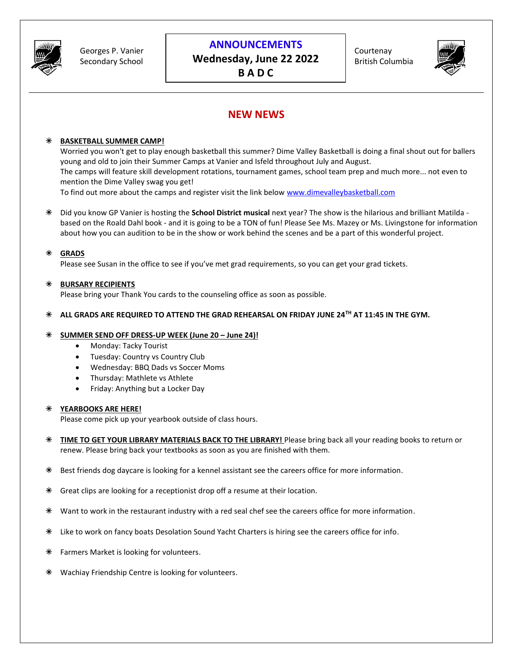

Georges P. Vanier Secondary School

### **ANNOUNCEMENTS**

**Wednesday, June 22 2022 B A D C**

Courtenay British Columbia



## **NEW NEWS**

#### **BASKETBALL SUMMER CAMP!**

Worried you won't get to play enough basketball this summer? Dime Valley Basketball is doing a final shout out for ballers young and old to join their Summer Camps at Vanier and Isfeld throughout July and August. The camps will feature skill development rotations, tournament games, school team prep and much more... not even to mention the Dime Valley swag you get!

To find out more about the camps and register visit the link below [www.dimevalleybasketball.com](http://www.dimevalleybasketball.com/)

 Did you know GP Vanier is hosting the **School District musical** next year? The show is the hilarious and brilliant Matilda based on the Roald Dahl book - and it is going to be a TON of fun! Please See Ms. Mazey or Ms. Livingstone for information about how you can audition to be in the show or work behind the scenes and be a part of this wonderful project.

#### **GRADS**

Please see Susan in the office to see if you've met grad requirements, so you can get your grad tickets.

#### **BURSARY RECIPIENTS**

Please bring your Thank You cards to the counseling office as soon as possible.

#### **ALL GRADS ARE REQUIRED TO ATTEND THE GRAD REHEARSAL ON FRIDAY JUNE 24TH AT 11:45 IN THE GYM.**

#### **SUMMER SEND OFF DRESS-UP WEEK (June 20 – June 24)!**

- Monday: Tacky Tourist
- Tuesday: Country vs Country Club
- Wednesday: BBQ Dads vs Soccer Moms
- Thursday: Mathlete vs Athlete
- Friday: Anything but a Locker Day

#### **YEARBOOKS ARE HERE!**

Please come pick up your yearbook outside of class hours.

- **TIME TO GET YOUR LIBRARY MATERIALS BACK TO THE LIBRARY!** Please bring back all your reading books to return or renew. Please bring back your textbooks as soon as you are finished with them.
- Best friends dog daycare is looking for a kennel assistant see the careers office for more information.
- Great clips are looking for a receptionist drop off a resume at their location.
- Want to work in the restaurant industry with a red seal chef see the careers office for more information.
- Like to work on fancy boats Desolation Sound Yacht Charters is hiring see the careers office for info.
- **\*** Farmers Market is looking for volunteers.
- Wachiay Friendship Centre is looking for volunteers.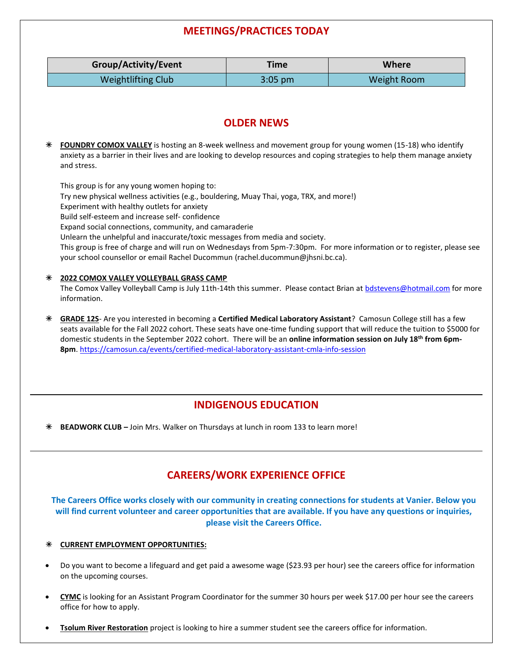# **MEETINGS/PRACTICES TODAY**

|   | Group/Activity/Event                                                                                                                                                                                                                     | <b>Time</b>                           | Where              |
|---|------------------------------------------------------------------------------------------------------------------------------------------------------------------------------------------------------------------------------------------|---------------------------------------|--------------------|
|   | <b>Weightlifting Club</b>                                                                                                                                                                                                                | $3:05$ pm                             | <b>Weight Room</b> |
|   |                                                                                                                                                                                                                                          |                                       |                    |
|   |                                                                                                                                                                                                                                          | <b>OLDER NEWS</b>                     |                    |
|   |                                                                                                                                                                                                                                          |                                       |                    |
| ⋇ | FOUNDRY COMOX VALLEY is hosting an 8-week wellness and movement group for young women (15-18) who identify<br>anxiety as a barrier in their lives and are looking to develop resources and coping strategies to help them manage anxiety |                                       |                    |
|   | and stress.                                                                                                                                                                                                                              |                                       |                    |
|   | This group is for any young women hoping to:                                                                                                                                                                                             |                                       |                    |
|   | Try new physical wellness activities (e.g., bouldering, Muay Thai, yoga, TRX, and more!)<br>Experiment with healthy outlets for anxiety                                                                                                  |                                       |                    |
|   | Build self-esteem and increase self-confidence                                                                                                                                                                                           |                                       |                    |
|   | Expand social connections, community, and camaraderie<br>Unlearn the unhelpful and inaccurate/toxic messages from media and society.                                                                                                     |                                       |                    |
|   | This group is free of charge and will run on Wednesdays from 5pm-7:30pm. For more information or to register, please see                                                                                                                 |                                       |                    |
|   | your school counsellor or email Rachel Ducommun (rachel.ducommun@jhsni.bc.ca).                                                                                                                                                           |                                       |                    |
| ⋇ | 2022 COMOX VALLEY VOLLEYBALL GRASS CAMP                                                                                                                                                                                                  |                                       |                    |
|   | The Comox Valley Volleyball Camp is July 11th-14th this summer. Please contact Brian at bdstevens@hotmail.com for more<br>information.                                                                                                   |                                       |                    |
| ⋇ | GRADE 12S- Are you interested in becoming a Certified Medical Laboratory Assistant? Camosun College still has a few                                                                                                                      |                                       |                    |
|   | seats available for the Fall 2022 cohort. These seats have one-time funding support that will reduce the tuition to \$5000 for                                                                                                           |                                       |                    |
|   | domestic students in the September 2022 cohort. There will be an online information session on July 18th from 6pm-<br>8pm. https://camosun.ca/events/certified-medical-laboratory-assistant-cmla-info-session                            |                                       |                    |
|   |                                                                                                                                                                                                                                          |                                       |                    |
|   |                                                                                                                                                                                                                                          |                                       |                    |
|   |                                                                                                                                                                                                                                          |                                       |                    |
|   |                                                                                                                                                                                                                                          | <b>INDIGENOUS EDUCATION</b>           |                    |
| ⋇ | BEADWORK CLUB - Join Mrs. Walker on Thursdays at lunch in room 133 to learn more!                                                                                                                                                        |                                       |                    |
|   |                                                                                                                                                                                                                                          |                                       |                    |
|   |                                                                                                                                                                                                                                          | <b>CAREERS/WORK EXPERIENCE OFFICE</b> |                    |
|   | The Careers Office works closely with our community in creating connections for students at Vanier. Below you                                                                                                                            |                                       |                    |
|   | will find current volunteer and career opportunities that are available. If you have any questions or inquiries,                                                                                                                         | please visit the Careers Office.      |                    |

- Do you want to become a lifeguard and get paid a awesome wage (\$23.93 per hour) see the careers office for information on the upcoming courses.
- CYMC is looking for an Assistant Program Coordinator for the summer 30 hours per week \$17.00 per hour see the careers office for how to apply.
- **Tsolum River Restoration** project is looking to hire a summer student see the careers office for information.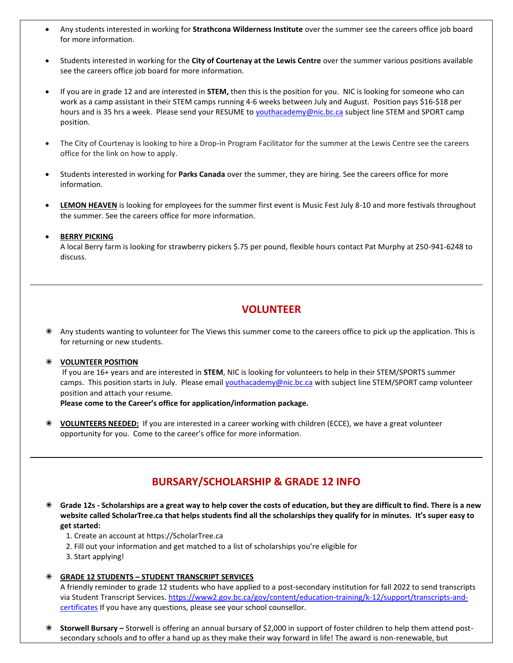- Any students interested in working for **Strathcona Wilderness Institute** over the summer see the careers office job board for more information.
- Students interested in working for the **City of Courtenay at the Lewis Centre** over the summer various positions available see the careers office job board for more information.
- If you are in grade 12 and are interested in **STEM,** then this is the position for you. NIC is looking for someone who can work as a camp assistant in their STEM camps running 4-6 weeks between July and August. Position pays \$16-\$18 per hours and is 35 hrs a week. Please send your RESUME to [youthacademy@nic.bc.ca](mailto:youthacademy@nic.bc.ca) subject line STEM and SPORT camp position.
- The City of Courtenay is looking to hire a Drop-in Program Facilitator for the summer at the Lewis Centre see the careers office for the link on how to apply.
- Students interested in working for **Parks Canada** over the summer, they are hiring. See the careers office for more information.
- **LEMON HEAVEN** is looking for employees for the summer first event is Music Fest July 8-10 and more festivals throughout the summer. See the careers office for more information.

#### • **BERRY PICKING**

A local Berry farm is looking for strawberry pickers \$.75 per pound, flexible hours contact Pat Murphy at 250-941-6248 to discuss.

### **VOLUNTEER**

 Any students wanting to volunteer for The Views this summer come to the careers office to pick up the application. This is for returning or new students.

#### **VOLUNTEER POSITION**

If you are 16+ years and are interested in **STEM**, NIC is looking for volunteers to help in their STEM/SPORTS summer camps. This position starts in July. Please email **youthacademy@nic.bc.ca** with subject line STEM/SPORT camp volunteer position and attach your resume.

**Please come to the Career's office for application/information package.**

 **VOLUNTEERS NEEDED:** If you are interested in a career working with children (ECCE), we have a great volunteer opportunity for you. Come to the career's office for more information.

### **BURSARY/SCHOLARSHIP & GRADE 12 INFO**

 **Grade 12s - Scholarships are a great way to help cover the costs of education, but they are difficult to find. There is a new website called ScholarTree.ca that helps students find all the scholarships they qualify for in minutes. It's super easy to get started:**

- 1. Create an account at https://ScholarTree.ca
- 2. Fill out your information and get matched to a list of scholarships you're eligible for
- 3. Start applying!

#### **GRADE 12 STUDENTS – STUDENT TRANSCRIPT SERVICES**

A friendly reminder to grade 12 students who have applied to a post-secondary institution for fall 2022 to send transcripts via Student Transcript Services. [https://www2.gov.bc.ca/gov/content/education-training/k-12/support/transcripts-and](https://www2.gov.bc.ca/gov/content/education-training/k-12/support/transcripts-and-certificates)[certificates](https://www2.gov.bc.ca/gov/content/education-training/k-12/support/transcripts-and-certificates) If you have any questions, please see your school counsellor.

 **Storwell Bursary –** Storwell is offering an annual bursary of \$2,000 in support of foster children to help them attend postsecondary schools and to offer a hand up as they make their way forward in life! The award is non-renewable, but